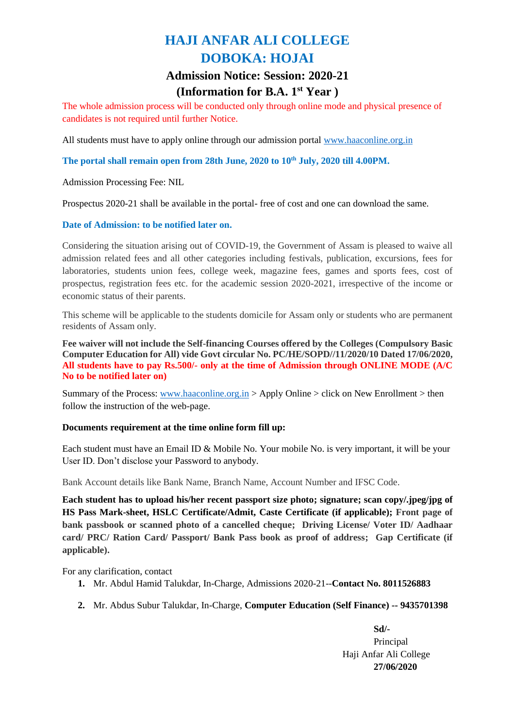# **HAJI ANFAR ALI COLLEGE DOBOKA: HOJAI**

# **Admission Notice: Session: 2020-21 (Information for B.A. 1 st Year )**

The whole admission process will be conducted only through online mode and physical presence of candidates is not required until further Notice.

All students must have to apply online through our admission portal [www.haaconline.org.in](http://www.haaconline.org.in/)

**The portal shall remain open from 28th June, 2020 to 10th July, 2020 till 4.00PM.**

Admission Processing Fee: NIL

Prospectus 2020-21 shall be available in the portal- free of cost and one can download the same.

### **Date of Admission: to be notified later on.**

Considering the situation arising out of COVID-19, the Government of Assam is pleased to waive all admission related fees and all other categories including festivals, publication, excursions, fees for laboratories, students union fees, college week, magazine fees, games and sports fees, cost of prospectus, registration fees etc. for the academic session 2020-2021, irrespective of the income or economic status of their parents.

This scheme will be applicable to the students domicile for Assam only or students who are permanent residents of Assam only.

**Fee waiver will not include the Self-financing Courses offered by the Colleges (Compulsory Basic Computer Education for All) vide Govt circular No. PC/HE/SOPD//11/2020/10 Dated 17/06/2020, All students have to pay Rs.500/- only at the time of Admission through ONLINE MODE (A/C No to be notified later on)**

Summary of the Process: [www.haaconline.org.in](http://www.haaconline.org.in/) > Apply Online > click on New Enrollment > then follow the instruction of the web-page.

#### **Documents requirement at the time online form fill up:**

Each student must have an Email ID & Mobile No. Your mobile No. is very important, it will be your User ID. Don't disclose your Password to anybody.

Bank Account details like Bank Name, Branch Name, Account Number and IFSC Code.

**Each student has to upload his/her recent passport size photo; signature; scan copy/.jpeg/jpg of HS Pass Mark-sheet, HSLC Certificate/Admit, Caste Certificate (if applicable); Front page of bank passbook or scanned photo of a cancelled cheque; Driving License/ Voter ID/ Aadhaar card/ PRC/ Ration Card/ Passport/ Bank Pass book as proof of address; Gap Certificate (if applicable).** 

For any clarification, contact

- **1.** Mr. Abdul Hamid Talukdar, In-Charge, Admissions 2020-21--**Contact No. 8011526883**
- **2.** Mr. Abdus Subur Talukdar, In-Charge, **Computer Education (Self Finance) -- 9435701398**

**Sd/-** Principal Haji Anfar Ali College **27/06/2020**